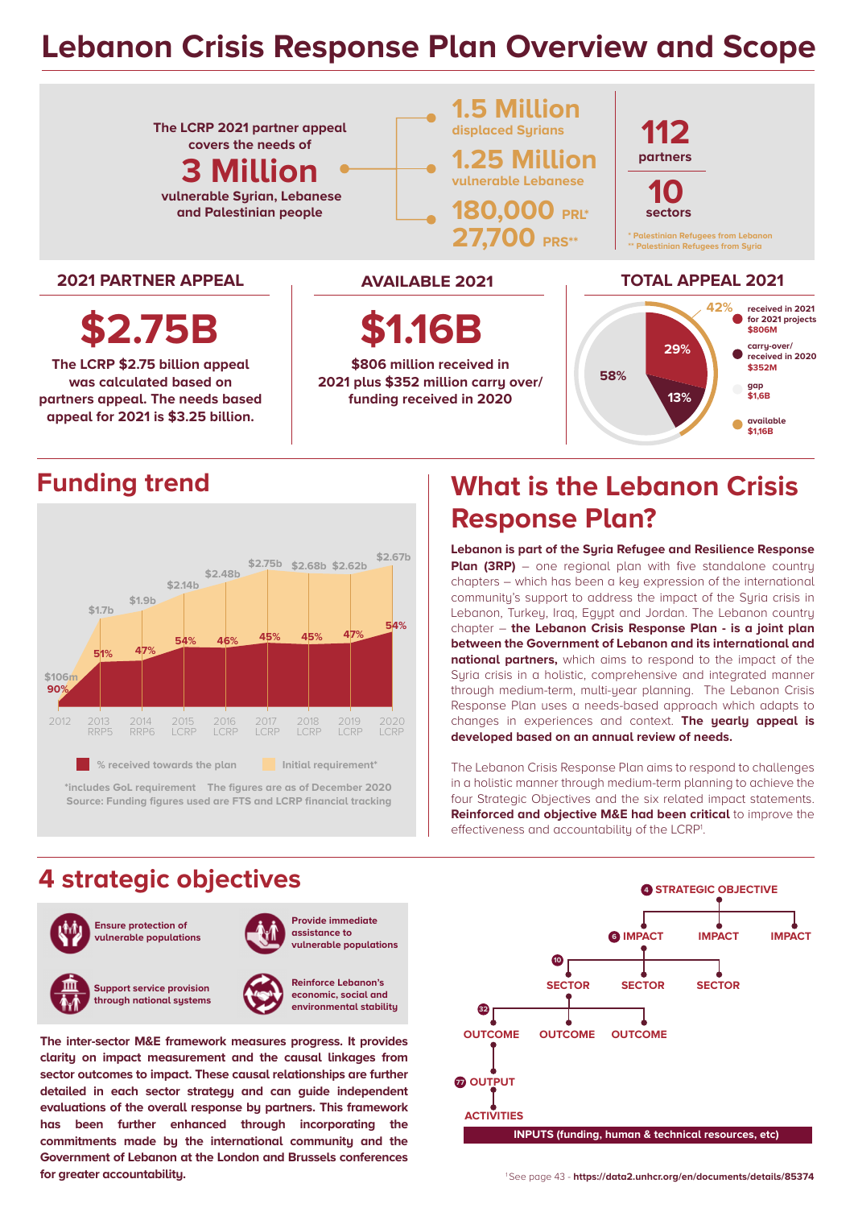# **Lebanon Crisis Response Plan Overview and Scope**



## **Funding trend**



**\*includes GoL requirement The figures are as of December 2020 Source: Funding figures used are FTS and LCRP financial tracking**

# **What is the Lebanon Crisis Response Plan?**

**Lebanon is part of the Syria Refugee and Resilience Response Plan (3RP)** – one regional plan with five standalone country chapters – which has been a key expression of the international communitu's support to address the impact of the Suria crisis in Lebanon, Turkey, Iraq, Egypt and Jordan. The Lebanon country chapter – **the Lebanon Crisis Response Plan - is a joint plan between the Government of Lebanon and its international and national partners,** which aims to respond to the impact of the Syria crisis in a holistic, comprehensive and integrated manner through medium-term, multi-year planning. The Lebanon Crisis Response Plan uses a needs-based approach which adapts to changes in experiences and context. **The yearly appeal is developed based on an annual review of needs.**

The Lebanon Crisis Response Plan aims to respond to challenges in a holistic manner through medium-term planning to achieve the four Strategic Objectives and the six related impact statements. **Reinforced and objective M&E had been critical** to improve the effectiveness and accountability of the LCRP<sup>1</sup>.

## **4 strategic objectives**



**The inter-sector M&E framework measures progress. It provides clarity on impact measurement and the causal linkages from sector outcomes to impact. These causal relationships are further detailed in each sector strategy and can guide independent evaluations of the overall response by partners. This framework has been further enhanced through incorporating the commitments made by the international community and the Government of Lebanon at the London and Brussels conferences for greater accountability.**